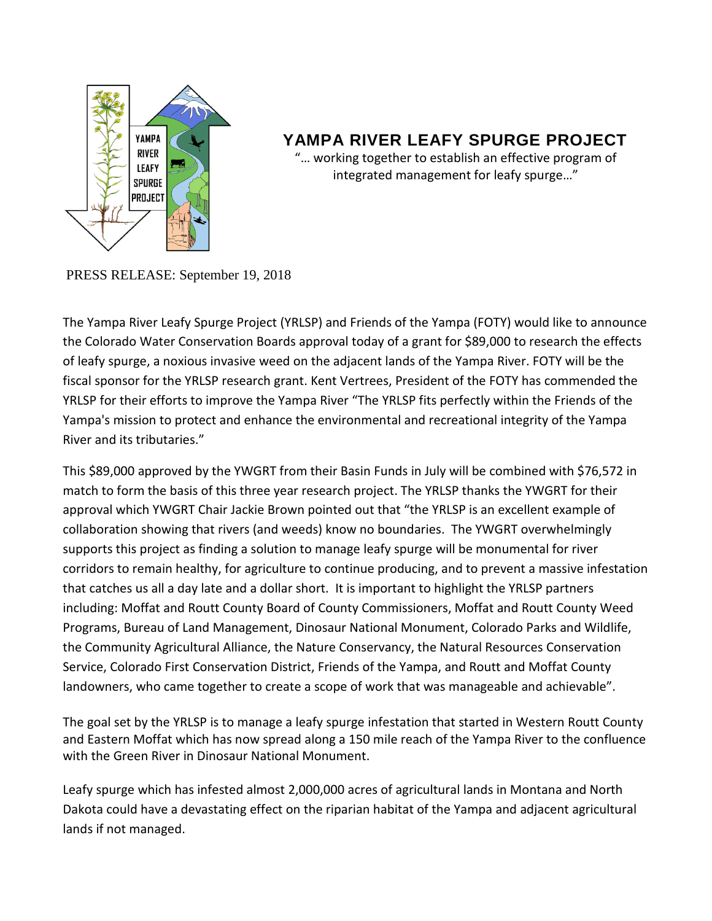

## **YAMPA RIVER LEAFY SPURGE PROJECT**

"… working together to establish an effective program of integrated management for leafy spurge…"

PRESS RELEASE: September 19, 2018

The Yampa River Leafy Spurge Project (YRLSP) and Friends of the Yampa (FOTY) would like to announce the Colorado Water Conservation Boards approval today of a grant for \$89,000 to research the effects of leafy spurge, a noxious invasive weed on the adjacent lands of the Yampa River. FOTY will be the fiscal sponsor for the YRLSP research grant. Kent Vertrees, President of the FOTY has commended the YRLSP for their efforts to improve the Yampa River "The YRLSP fits perfectly within the Friends of the Yampa's mission to protect and enhance the environmental and recreational integrity of the Yampa River and its tributaries."

This \$89,000 approved by the YWGRT from their Basin Funds in July will be combined with \$76,572 in match to form the basis of this three year research project. The YRLSP thanks the YWGRT for their approval which YWGRT Chair Jackie Brown pointed out that "the YRLSP is an excellent example of collaboration showing that rivers (and weeds) know no boundaries. The YWGRT overwhelmingly supports this project as finding a solution to manage leafy spurge will be monumental for river corridors to remain healthy, for agriculture to continue producing, and to prevent a massive infestation that catches us all a day late and a dollar short. It is important to highlight the YRLSP partners including: Moffat and Routt County Board of County Commissioners, Moffat and Routt County Weed Programs, Bureau of Land Management, Dinosaur National Monument, Colorado Parks and Wildlife, the Community Agricultural Alliance, the Nature Conservancy, the Natural Resources Conservation Service, Colorado First Conservation District, Friends of the Yampa, and Routt and Moffat County landowners, who came together to create a scope of work that was manageable and achievable".

The goal set by the YRLSP is to manage a leafy spurge infestation that started in Western Routt County and Eastern Moffat which has now spread along a 150 mile reach of the Yampa River to the confluence with the Green River in Dinosaur National Monument.

Leafy spurge which has infested almost 2,000,000 acres of agricultural lands in Montana and North Dakota could have a devastating effect on the riparian habitat of the Yampa and adjacent agricultural lands if not managed.